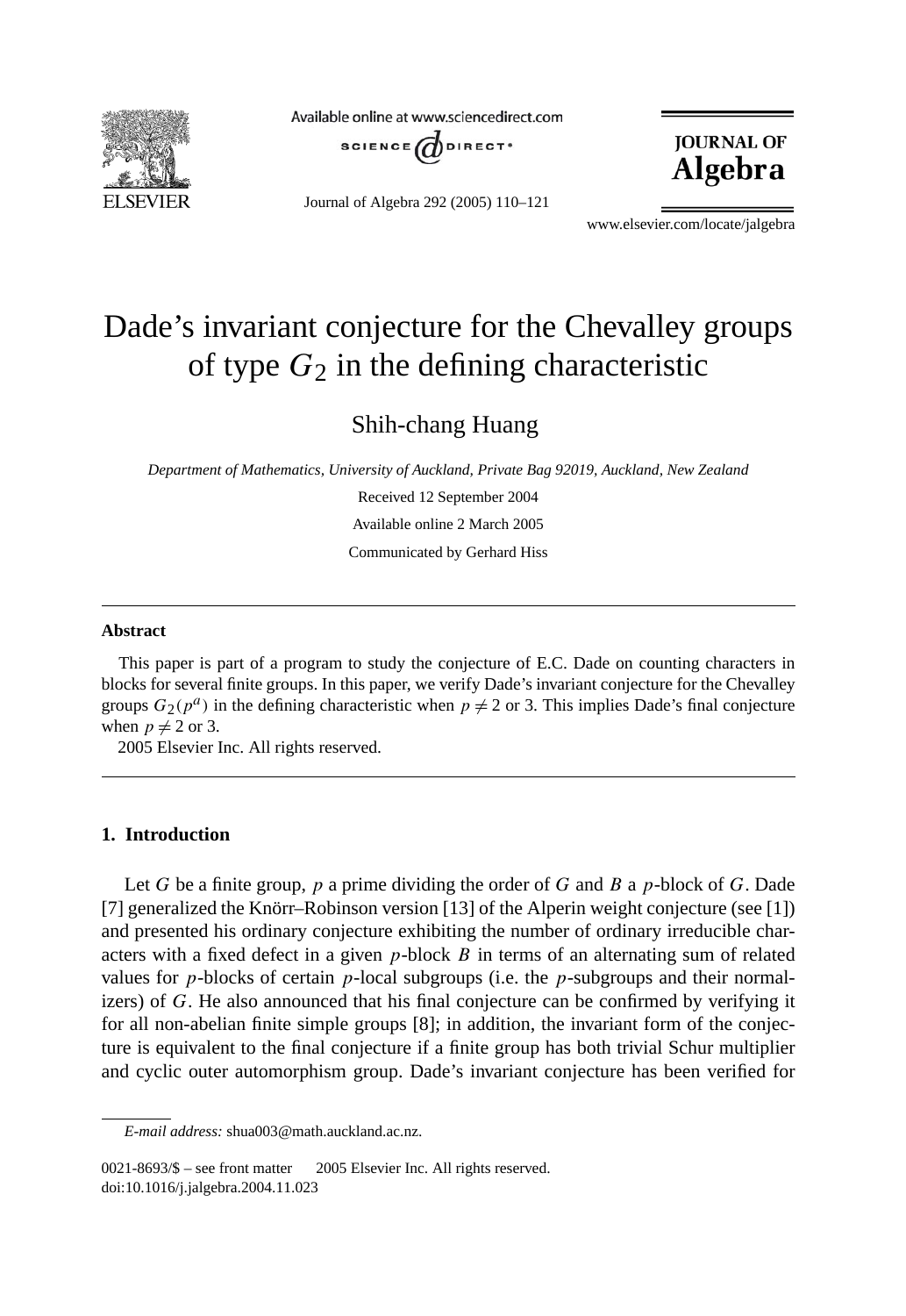

Available online at www.sciencedirect.com



**JOURNAL OF** Algebra

Journal of Algebra 292 (2005) 110–121

www.elsevier.com/locate/jalgebra

# Dade's invariant conjecture for the Chevalley groups of type  $G_2$  in the defining characteristic

# Shih-chang Huang

*Department of Mathematics, University of Auckland, Private Bag 92019, Auckland, New Zealand*

Received 12 September 2004 Available online 2 March 2005 Communicated by Gerhard Hiss

## **Abstract**

This paper is part of a program to study the conjecture of E.C. Dade on counting characters in blocks for several finite groups. In this paper, we verify Dade's invariant conjecture for the Chevalley groups  $G_2(p^a)$  in the defining characteristic when  $p \neq 2$  or 3. This implies Dade's final conjecture when  $p \neq 2$  or 3.

2005 Elsevier Inc. All rights reserved.

# **1. Introduction**

Let *G* be a finite group, *p* a prime dividing the order of *G* and *B* a *p*-block of *G*. Dade [7] generalized the Knörr–Robinson version [13] of the Alperin weight conjecture (see [1]) and presented his ordinary conjecture exhibiting the number of ordinary irreducible characters with a fixed defect in a given *p*-block *B* in terms of an alternating sum of related values for *p*-blocks of certain *p*-local subgroups (i.e. the *p*-subgroups and their normalizers) of *G*. He also announced that his final conjecture can be confirmed by verifying it for all non-abelian finite simple groups [8]; in addition, the invariant form of the conjecture is equivalent to the final conjecture if a finite group has both trivial Schur multiplier and cyclic outer automorphism group. Dade's invariant conjecture has been verified for

*E-mail address:* shua003@math.auckland.ac.nz.

<sup>0021-8693/\$ –</sup> see front matter © 2005 Elsevier Inc. All rights reserved. doi:10.1016/j.jalgebra.2004.11.023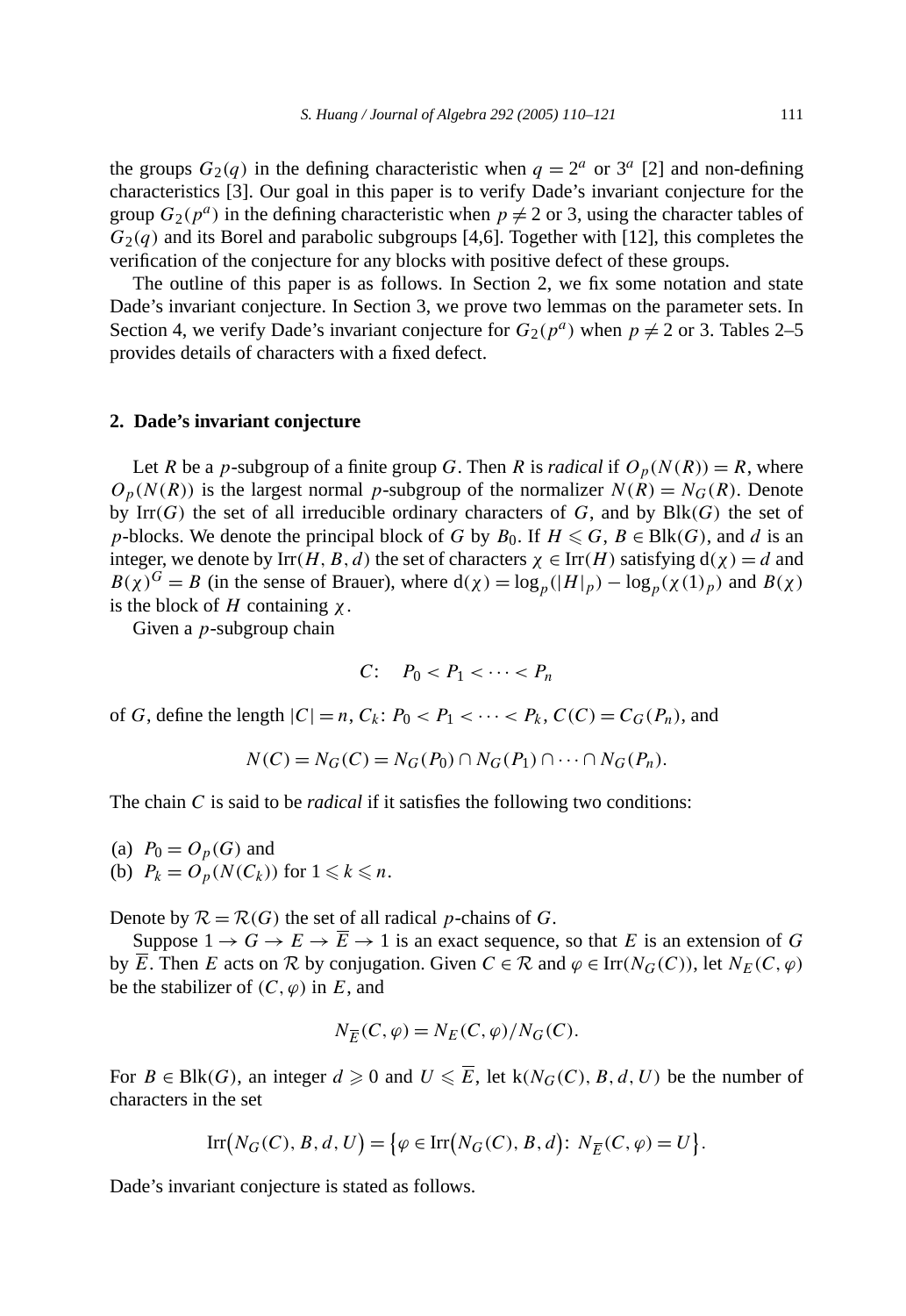the groups  $G_2(q)$  in the defining characteristic when  $q = 2^a$  or  $3^a$  [2] and non-defining characteristics [3]. Our goal in this paper is to verify Dade's invariant conjecture for the group  $G_2(p^a)$  in the defining characteristic when  $p \neq 2$  or 3, using the character tables of  $G_2(q)$  and its Borel and parabolic subgroups [4,6]. Together with [12], this completes the verification of the conjecture for any blocks with positive defect of these groups.

The outline of this paper is as follows. In Section 2, we fix some notation and state Dade's invariant conjecture. In Section 3, we prove two lemmas on the parameter sets. In Section 4, we verify Dade's invariant conjecture for  $G_2(p^a)$  when  $p \neq 2$  or 3. Tables 2–5 provides details of characters with a fixed defect.

#### **2. Dade's invariant conjecture**

Let *R* be a *p*-subgroup of a finite group *G*. Then *R* is *radical* if  $O_p(N(R)) = R$ , where  $O_p(N(R))$  is the largest normal *p*-subgroup of the normalizer  $N(R) = N_G(R)$ . Denote by Irr*(G)* the set of all irreducible ordinary characters of *G*, and by Blk*(G)* the set of *p*-blocks. We denote the principal block of *G* by  $B_0$ . If  $H \le G$ ,  $B \in \text{Blk}(G)$ , and *d* is an integer, we denote by  $\text{Irr}(H, B, d)$  the set of characters  $\chi \in \text{Irr}(H)$  satisfying  $d(\chi) = d$  and  $B(\chi)^G = B$  (in the sense of Brauer), where  $d(\chi) = \log_p(|H|_p) - \log_p(\chi(1)_p)$  and  $B(\chi)$ is the block of *H* containing *χ*.

Given a *p*-subgroup chain

$$
C: P_0 < P_1 < \cdots < P_n
$$

of *G*, define the length  $|C| = n$ ,  $C_k$ :  $P_0 < P_1 < \cdots < P_k$ ,  $C(C) = C_G(P_n)$ , and

$$
N(C) = N_G(C) = N_G(P_0) \cap N_G(P_1) \cap \cdots \cap N_G(P_n).
$$

The chain *C* is said to be *radical* if it satisfies the following two conditions:

(a)  $P_0 = O_p(G)$  and (b)  $P_k = O_p(N(C_k))$  for  $1 \leq k \leq n$ .

Denote by  $\mathcal{R} = \mathcal{R}(G)$  the set of all radical *p*-chains of *G*.

Suppose  $1 \rightarrow G \rightarrow E \rightarrow \overline{E} \rightarrow 1$  is an exact sequence, so that *E* is an extension of *G* by  $\overline{E}$ . Then *E* acts on  $\mathcal R$  by conjugation. Given  $C \in \mathcal R$  and  $\varphi \in \text{Irr}(N_G(C))$ , let  $N_E(C, \varphi)$ be the stabilizer of  $(C, \varphi)$  in  $E$ , and

$$
N_{\overline{E}}(C,\varphi) = N_E(C,\varphi)/N_G(C).
$$

For  $B \in B$ lk(G), an integer  $d \ge 0$  and  $U \le \overline{E}$ , let k( $N_G(C)$ , B, d, U) be the number of characters in the set

$$
\operatorname{Irr}\big(N_G(C), B, d, U\big) = \big\{\varphi \in \operatorname{Irr}\big(N_G(C), B, d\big) : N_{\overline{E}}(C, \varphi) = U\big\}.
$$

Dade's invariant conjecture is stated as follows.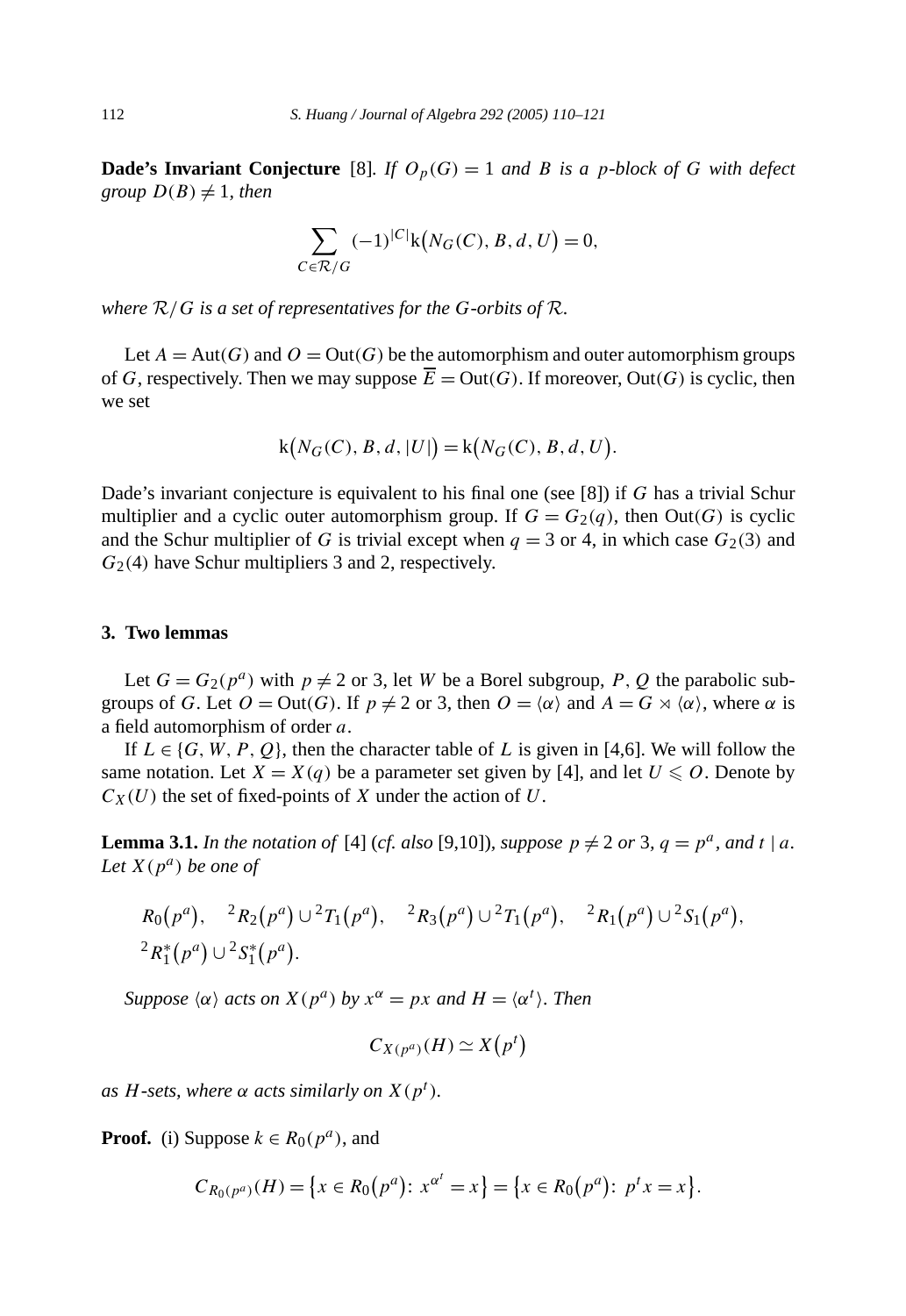**Dade's Invariant Conjecture** [8]*. If*  $O_p(G) = 1$  *and B is a p-block of G with defect group*  $D(B) \neq 1$ *, then* 

$$
\sum_{C \in \mathcal{R}/G} (-1)^{|C|} \mathbf{k}(N_G(C), B, d, U) = 0,
$$

*where* R*/G is a set of representatives for the G-orbits of* R*.*

Let  $A = Aut(G)$  and  $O = Out(G)$  be the automorphism and outer automorphism groups of *G*, respectively. Then we may suppose  $\overline{E} = Out(G)$ . If moreover,  $Out(G)$  is cyclic, then we set

$$
k(N_G(C), B, d, |U|) = k(N_G(C), B, d, U).
$$

Dade's invariant conjecture is equivalent to his final one (see [8]) if *G* has a trivial Schur multiplier and a cyclic outer automorphism group. If  $G = G_2(q)$ , then Out(G) is cyclic and the Schur multiplier of *G* is trivial except when  $q = 3$  or 4, in which case  $G_2(3)$  and *G*2*(*4*)* have Schur multipliers 3 and 2, respectively.

## **3. Two lemmas**

Let  $G = G_2(p^a)$  with  $p \neq 2$  or 3, let *W* be a Borel subgroup, *P*, *Q* the parabolic subgroups of *G*. Let  $O = Out(G)$ . If  $p \neq 2$  or 3, then  $O = \langle \alpha \rangle$  and  $A = G \rtimes \langle \alpha \rangle$ , where  $\alpha$  is a field automorphism of order *a*.

If  $L \in \{G, W, P, Q\}$ , then the character table of *L* is given in [4,6]. We will follow the same notation. Let  $X = X(q)$  be a parameter set given by [4], and let  $U \leq 0$ . Denote by  $C_X(U)$  the set of fixed-points of *X* under the action of *U*.

**Lemma 3.1.** In the notation of [4] (*cf. also* [9,10])*, suppose*  $p \neq 2$  *or* 3*, q* =  $p^a$ *, and t* | *a. Let*  $X(p^a)$  *be one of* 

$$
R_0(p^a), \quad {}^2R_2(p^a) \cup {}^2T_1(p^a), \quad {}^2R_3(p^a) \cup {}^2T_1(p^a), \quad {}^2R_1(p^a) \cup {}^2S_1(p^a),
$$
  

$$
{}^2R_1^*(p^a) \cup {}^2S_1^*(p^a).
$$

*Suppose*  $\langle \alpha \rangle$  *acts on*  $X(p^a)$  *by*  $x^{\alpha} = px$  *and*  $H = \langle \alpha^t \rangle$ *. Then* 

$$
C_{X(p^a)}(H) \simeq X(p^t)
$$

*as H-sets, where*  $\alpha$  *acts similarly on*  $X(p<sup>t</sup>)$ *.* 

**Proof.** (i) Suppose  $k \in R_0(p^a)$ , and

$$
C_{R_0(p^a)}(H) = \{x \in R_0(p^a): x^{\alpha^t} = x\} = \{x \in R_0(p^a): p^t x = x\}.
$$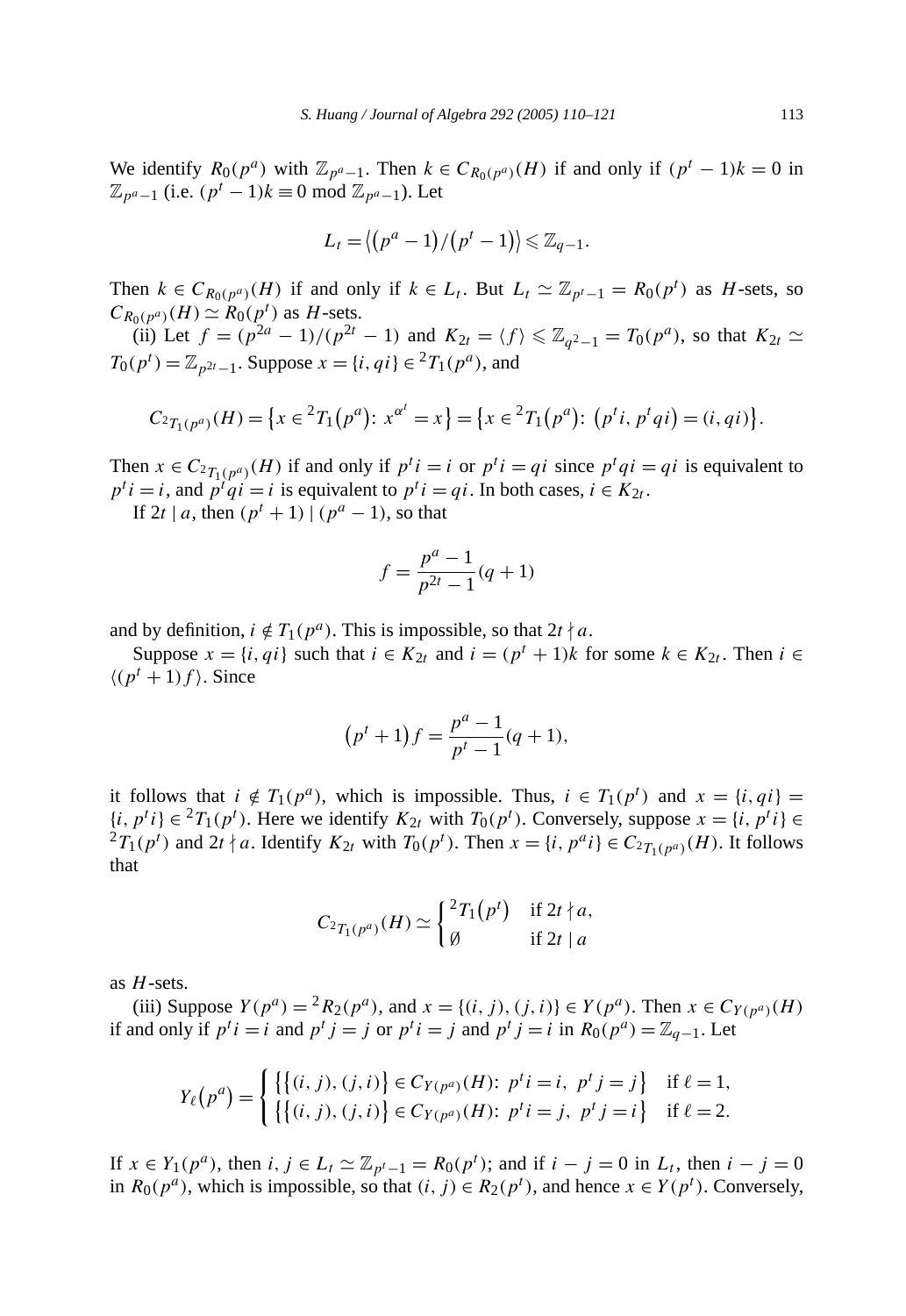We identify  $R_0(p^a)$  with  $\mathbb{Z}_{p^a-1}$ . Then  $k \in C_{R_0(p^a)}(H)$  if and only if  $(p^t - 1)k = 0$  in  $\mathbb{Z}_{p^a-1}$  (i.e.  $(p^t-1)k \equiv 0 \mod \mathbb{Z}_{p^a-1}$ ). Let

$$
L_t = \langle (p^a - 1)/(p^t - 1) \rangle \leq \mathbb{Z}_{q-1}.
$$

Then  $k \in C_{R_0(p^a)}(H)$  if and only if  $k \in L_t$ . But  $L_t \simeq \mathbb{Z}_{p^t-1} = R_0(p^t)$  as *H*-sets, so  $C_{R_0(p^a)}(H) \simeq R_0(p^t)$  as *H*-sets.

(ii) Let  $f = (p^{2a} - 1)/(p^{2t} - 1)$  and  $K_{2t} = \langle f \rangle \leq \mathbb{Z}_{q^2-1} = T_0(p^a)$ , so that  $K_{2t} \simeq$ *T*<sub>0</sub>*(p<sup>t</sup>)* =  $\mathbb{Z}_{p^{2t}-1}$ . Suppose  $x = \{i, qi\} \in {}^{2}T_1(p^a)$ , and

$$
C_{^{2}T_{1}(p^{a})}(H) = \{x \in {}^{2}T_{1}(p^{a}) : x^{\alpha'} = x\} = \{x \in {}^{2}T_{1}(p^{a}) : (p^{t}i, p^{t}qi) = (i, qi)\}.
$$

Then  $x \in C_{2T_1(p^a)}(H)$  if and only if  $p^t i = i$  or  $p^t i = qi$  since  $p^t qi = qi$  is equivalent to  $p^t i = i$ , and  $p^t q i = i$  is equivalent to  $p^t i = qi$ . In both cases,  $i \in K_{2t}$ .

If  $2t | a$ , then  $(p<sup>t</sup> + 1) | (p<sup>a</sup> - 1)$ , so that

$$
f = \frac{p^a - 1}{p^{2t} - 1}(q + 1)
$$

and by definition,  $i \notin T_1(p^a)$ . This is impossible, so that  $2t \nmid a$ .

Suppose  $x = \{i, qi\}$  such that  $i \in K_{2t}$  and  $i = (p^t + 1)k$  for some  $k \in K_{2t}$ . Then  $i \in$  $\langle (p^t + 1) f \rangle$ . Since

$$
(pt + 1) f = \frac{pa - 1}{pt - 1} (q + 1),
$$

it follows that  $i \notin T_1(p^a)$ , which is impossible. Thus,  $i \in T_1(p^t)$  and  $x = \{i, qi\}$  $\{i, p^t i\} \in {}^2T_1(p^t)$ . Here we identify  $K_{2t}$  with  $T_0(p^t)$ . Conversely, suppose  $x = \{i, p^t i\} \in$  ${}^2T_1(p^t)$  and  $2t \nmid a$ . Identify  $K_{2t}$  with  $T_0(p^t)$ . Then  $x = \{i, p^a i\} \in C_{^2T_1(p^a)}(H)$ . It follows that

$$
C_{^{2}T_{1}(p^{a})}(H) \simeq \begin{cases} {^{2}T_{1}(p^{t})} & \text{if } 2t \nmid a, \\ \emptyset & \text{if } 2t \mid a. \end{cases}
$$

as *H*-sets.

(iii) Suppose  $Y(p^a) = {}^2R_2(p^a)$ , and  $x = \{(i, j), (j, i)\}\in Y(p^a)$ . Then  $x \in C_{Y(p^a)}(H)$ if and only if  $p^t i = i$  and  $p^t j = j$  or  $p^t i = j$  and  $p^t j = i$  in  $R_0(p^a) = \mathbb{Z}_{q-1}$ . Let

$$
Y_{\ell}(p^a) = \begin{cases} \{ \{ (i, j), (j, i) \} \in C_{Y(p^a)}(H); \ p^t i = i, \ p^t j = j \} & \text{if } \ell = 1, \\ \{ \{ (i, j), (j, i) \} \in C_{Y(p^a)}(H); \ p^t i = j, \ p^t j = i \} & \text{if } \ell = 2. \end{cases}
$$

If *x* ∈ *Y*<sub>1</sub>( $p^a$ ), then *i*, *j* ∈ *L*<sub>*t*</sub>  $\approx \mathbb{Z}_{p^t-1} = R_0(p^t)$ ; and if *i* − *j* = 0 in *L*<sub>*t*</sub>, then *i* − *j* = 0 in  $R_0(p^a)$ , which is impossible, so that  $(i, j) \in R_2(p^t)$ , and hence  $x \in Y(p^t)$ . Conversely,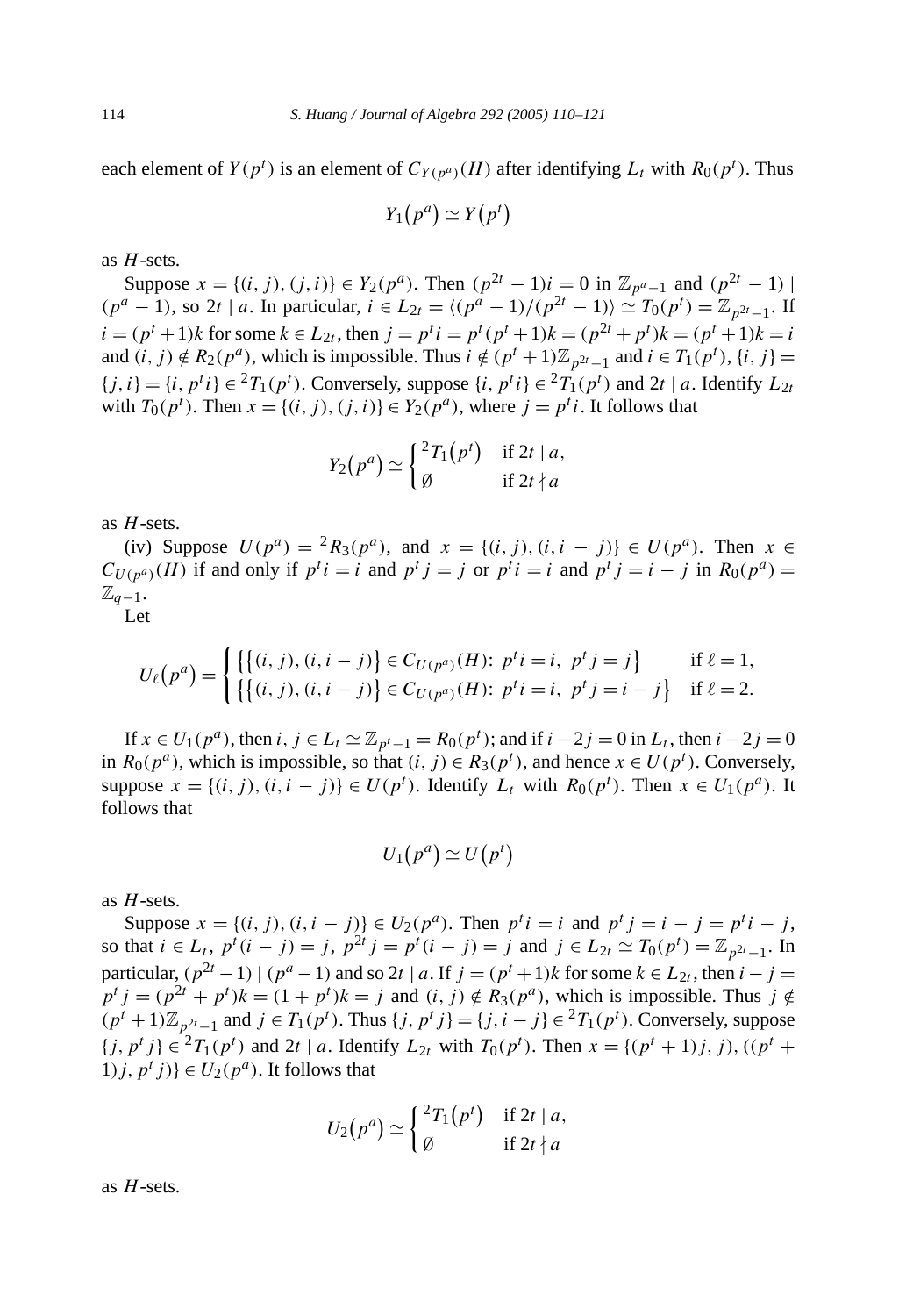each element of  $Y(p^t)$  is an element of  $C_{Y(p^a)}(H)$  after identifying  $L_t$  with  $R_0(p^t)$ . Thus

$$
Y_1(p^a) \simeq Y(p^t)
$$

as *H*-sets.

Suppose  $x = \{(i, j), (j, i)\}\in Y_2(p^a)$ . Then  $(p^{2t} - 1)i = 0$  in  $\mathbb{Z}_{p^a-1}$  and  $(p^{2t} - 1)$ *(p<sup>a</sup>* − 1), so 2*t* | *a*. In particular,  $i \text{ } \in L_{2t} = \langle (p^a - 1)/(p^{2t} - 1) \rangle \cong T_0(p^t) = \mathbb{Z}_{p^{2t} - 1}$ . If  $i = (p<sup>t</sup> + 1)k$  for some  $k \in L_{2t}$ , then  $j = p<sup>t</sup>i = p<sup>t</sup>(p<sup>t</sup> + 1)k = (p<sup>2t</sup> + p<sup>t</sup>)k = (p<sup>t</sup> + 1)k = i$ and *(i, j)* ∉  $R_2(p^a)$ , which is impossible. Thus  $i \notin (p^t + 1)\mathbb{Z}_{p^{2t}-1}$  and  $i \in T_1(p^t)$ ,  $\{i, j\} =$  $\{j, i\} = \{i, p^t i\} \in {}^2T_1(p^t)$ . Conversely, suppose  $\{i, p^t i\} \in {}^2T_1(p^t)$  and  $2t \mid a$ . Identify  $L_{2t}$ with *T*<sub>0</sub>( $p<sup>t</sup>$ ). Then *x* = {(*i, j*), (*j, i*)}  $\in Y_2(p^a)$ , where  $j = p<sup>t</sup>$ *i*. It follows that

$$
Y_2(p^a) \simeq \begin{cases}{}^2T_1(p^t) & \text{if } 2t \mid a, \\ \emptyset & \text{if } 2t \nmid a. \end{cases}
$$

as *H*-sets.

(iv) Suppose  $U(p^a) = {}^2R_3(p^a)$ , and  $x = \{(i, j), (i, i - j)\}\in U(p^a)$ . Then  $x \in$  $C_{U(p^a)}(H)$  if and only if  $p^t i = i$  and  $p^t j = j$  or  $p^t i = i$  and  $p^t j = i - j$  in  $R_0(p^a) =$  $\mathbb{Z}_{q-1}$ .

Let

$$
U_{\ell}(p^{a}) = \begin{cases} \{ \{(i, j), (i, i - j) \} \in C_{U(p^{a})}(H); \ p^{t} i = i, \ p^{t} j = j \} & \text{if } \ell = 1, \\ \{ \{(i, j), (i, i - j) \} \in C_{U(p^{a})}(H); \ p^{t} i = i, \ p^{t} j = i - j \} & \text{if } \ell = 2. \end{cases}
$$

If *x* ∈ *U*<sub>1</sub>( $p^a$ ), then *i*, *j* ∈ *L*<sub>*t*</sub>  $\approx \mathbb{Z}_{p^t-1} = R_0(p^t)$ ; and if *i* − 2*j* = 0 in *L*<sub>*t*</sub>, then *i* − 2*j* = 0 in  $R_0(p^a)$ , which is impossible, so that  $(i, j) \in R_3(p^t)$ , and hence  $x \in U(p^t)$ . Conversely, suppose *x* = {*(i, j), (i, i − j)*} ∈ *U*(*p<sup>t</sup>*). Identify *L<sub>t</sub>* with  $R_0(p^t)$ . Then  $x \in U_1(p^a)$ . It follows that

$$
U_1(p^a) \simeq U(p^t)
$$

as *H*-sets.

Suppose  $x = \{(i, j), (i, i - j)\} \in U_2(p^a)$ . Then  $p^t i = i$  and  $p^t j = i - j = p^t i - j$ , so that  $i \in L_t$ ,  $p^t(i - j) = j$ ,  $p^{2t}j = p^t(i - j) = j$  and  $j \in L_{2t} \simeq T_0(p^t) = \mathbb{Z}_{p^{2t}-1}$ . In *particular,*  $(p^{2t} - 1)$  |  $(p^a - 1)$  and so 2*t* | *a*. If *j* =  $(p^t + 1)$ *k* for some *k* ∈ *L*<sub>2*t*</sub>, then *i* − *j* =  $p^t j = (p^{2t} + p^t)k = (1 + p^t)k = j$  and  $(i, j) \notin R_3(p^a)$ , which is impossible. Thus  $j \notin I$ *(p<sup>t</sup>* + 1) $\mathbb{Z}_{p^{2t}-1}$  and *j* ∈ *T*<sub>1</sub>*(p<sup>t</sup>*). Thus {*j, p<sup>t</sup> j}* = {*j, i* − *j*} ∈ <sup>2</sup>*T*<sub>1</sub>*(p<sup>t</sup>)*. Conversely, suppose  $\{j, p^t j\} \in {}^2T_1(p^t)$  and  $2t \mid a$ . Identify  $L_{2t}$  with  $T_0(p^t)$ . Then  $x = \{(p^t + 1)j, j\}$ ,  $((p^t +$  $\{1j, p^t j\} \in U_2(p^a)$ . It follows that

$$
U_2(p^a) \simeq \begin{cases}{}^2T_1(p^t) & \text{if } 2t \mid a, \\ \emptyset & \text{if } 2t \nmid a. \end{cases}
$$

as *H*-sets.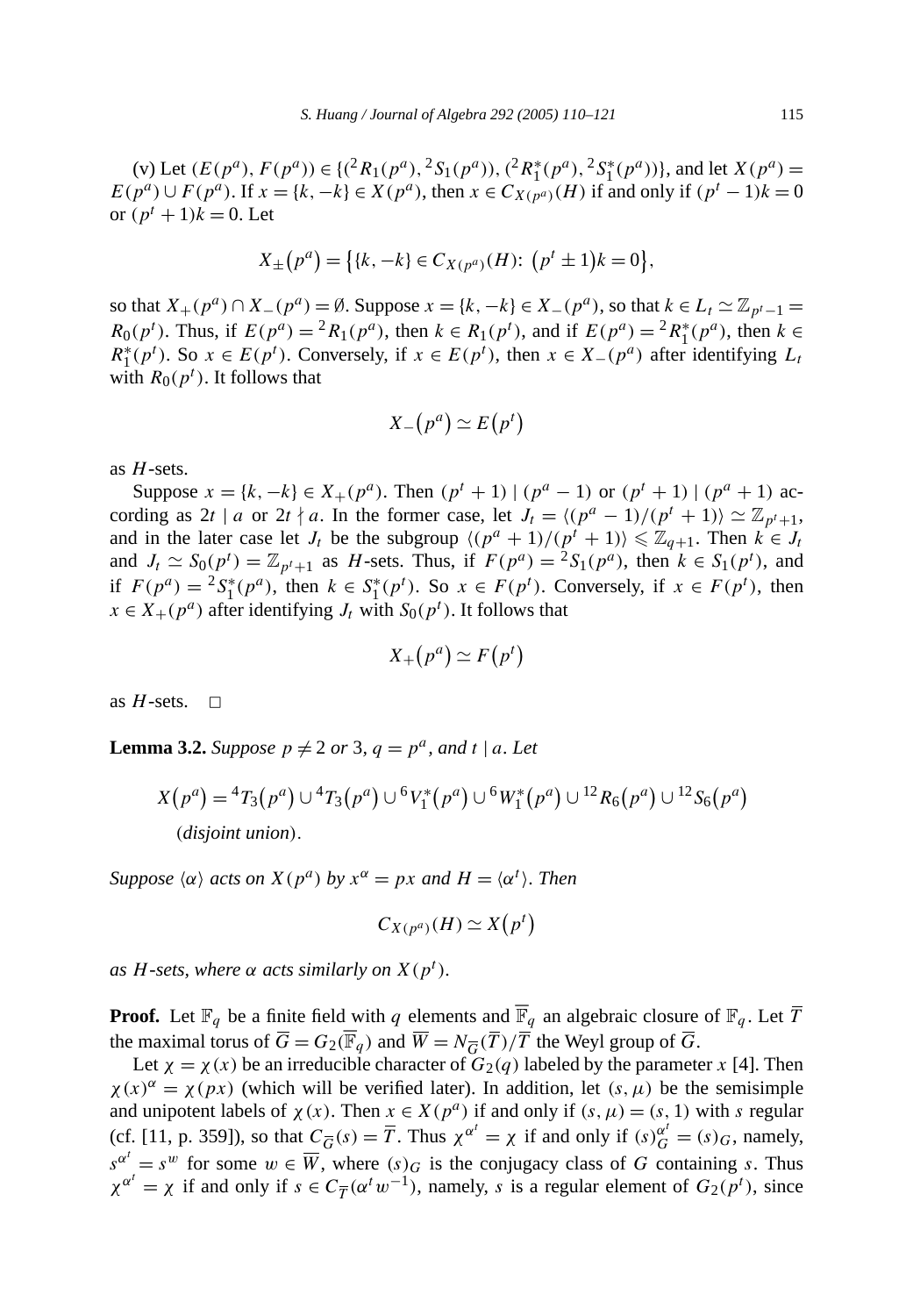(v) Let  $(E(p^a), F(p^a)) \in \{({}^2R_1(p^a), {}^2S_1(p^a)), ({}^2R_1^*(p^a), {}^2S_1^*(p^a))\}$ , and let  $X(p^a)$  = *E(p<sup>a</sup>)* ∪ *F(p<sup>a</sup>)*. If  $x = \{k, -k\} \in X(p^a)$ , then  $x \in C_{X(p^a)}(H)$  if and only if  $(p^t - 1)k = 0$ or  $(p^t + 1)k = 0$ . Let

$$
X_{\pm}(p^a) = \{ \{k, -k\} \in C_{X(p^a)}(H): \ (p^t \pm 1)k = 0 \},
$$

so that  $X_+(p^a) ∩ X_-(p^a) = ∅$ . Suppose  $x = \{k, -k\} ∈ X_-(p^a)$ , so that  $k ∈ L_t ⊇ \mathbb{Z}_{p^t-1} =$  $R_0(p^t)$ . Thus, if  $E(p^a) = {}^2R_1(p^a)$ , then  $k \in R_1(p^t)$ , and if  $E(p^a) = {}^2R_1^*(p^a)$ , then  $k \in$  $R_1^*(p^t)$ . So  $x \in E(p^t)$ . Conversely, if  $x \in E(p^t)$ , then  $x \in X_-(p^a)$  after identifying  $L_t$ with  $R_0(p^t)$ . It follows that

$$
X_{-}(p^{a})\simeq E(p^{t})
$$

as *H*-sets.

Suppose  $x = \{k, -k\}$  ∈  $X_+(p^a)$ . Then  $(p^t + 1)$  |  $(p^a - 1)$  or  $(p^t + 1)$  |  $(p^a + 1)$  according as 2*t* | *a* or 2*t*  $\nmid a$ . In the former case, let  $J_t = \langle (p^a - 1)/(p^t + 1) \rangle \simeq \mathbb{Z}_{p^t+1}$ , and in the later case let  $J_t$  be the subgroup  $\langle (p^a + 1)/(p^t + 1) \rangle \leq \mathbb{Z}_{q+1}$ . Then  $k \in J_t$ and  $J_t \simeq S_0(p^t) = \mathbb{Z}_{p^t+1}$  as *H*-sets. Thus, if  $F(p^a) = {}^2S_1(p^a)$ , then  $k \in S_1(p^t)$ , and if  $F(p^a) = {}^2S_1^*(p^a)$ , then  $k \in S_1^*(p^t)$ . So  $x \in F(p^t)$ . Conversely, if  $x \in F(p^t)$ , then  $x \in X_+(p^a)$  after identifying  $J_t$  with  $S_0(p^t)$ . It follows that

$$
X_+(p^a) \simeq F(p^t)
$$

as  $H$ -sets.  $\Box$ 

**Lemma 3.2.** *Suppose*  $p \neq 2$  *or* 3*,*  $q = p^a$ *, and*  $t | a$ *. Let* 

$$
X(p^a) = {}^4T_3(p^a) \cup {}^4T_3(p^a) \cup {}^6V_1^*(p^a) \cup {}^6W_1^*(p^a) \cup {}^{12}R_6(p^a) \cup {}^{12}S_6(p^a)
$$
  
(disjoint union).

*Suppose*  $\langle \alpha \rangle$  *acts on*  $X(p^a)$  *by*  $x^{\alpha} = px$  *and*  $H = \langle \alpha^t \rangle$ *. Then* 

$$
C_{X(p^a)}(H) \simeq X(p^t)
$$

*as H-sets, where*  $\alpha$  *acts similarly on*  $X(p<sup>t</sup>)$ *.* 

**Proof.** Let  $\mathbb{F}_q$  be a finite field with *q* elements and  $\overline{\mathbb{F}}_q$  an algebraic closure of  $\mathbb{F}_q$ . Let  $\overline{T}$ the maximal torus of  $\overline{G} = G_2(\overline{\mathbb{F}}_q)$  and  $\overline{W} = N_{\overline{G}}(\overline{T})/\overline{T}$  the Weyl group of  $\overline{G}$ .

Let  $\chi = \chi(x)$  be an irreducible character of  $G_2(q)$  labeled by the parameter x [4]. Then  $\chi(x)^\alpha = \chi(px)$  (which will be verified later). In addition, let  $(s, \mu)$  be the semisimple and unipotent labels of  $\chi(x)$ . Then  $x \in X(p^a)$  if and only if  $(s, \mu) = (s, 1)$  with *s* regular (cf. [11, p. 359]), so that  $C_{\overline{G}}(s) = \overline{T}$ . Thus  $\chi^{\alpha^t} = \chi$  if and only if  $(s)_{G}^{\alpha^t} = (s)_{G}$ , namely,  $s^{\alpha'} = s^w$  for some  $w \in \overline{W}$ , where  $(s)_G$  is the conjugacy class of *G* containing *s*. Thus  $\chi^{\alpha^t} = \chi$  if and only if  $s \in C_{\overline{T}}(\alpha^t w^{-1})$ , namely, *s* is a regular element of  $G_2(p^t)$ , since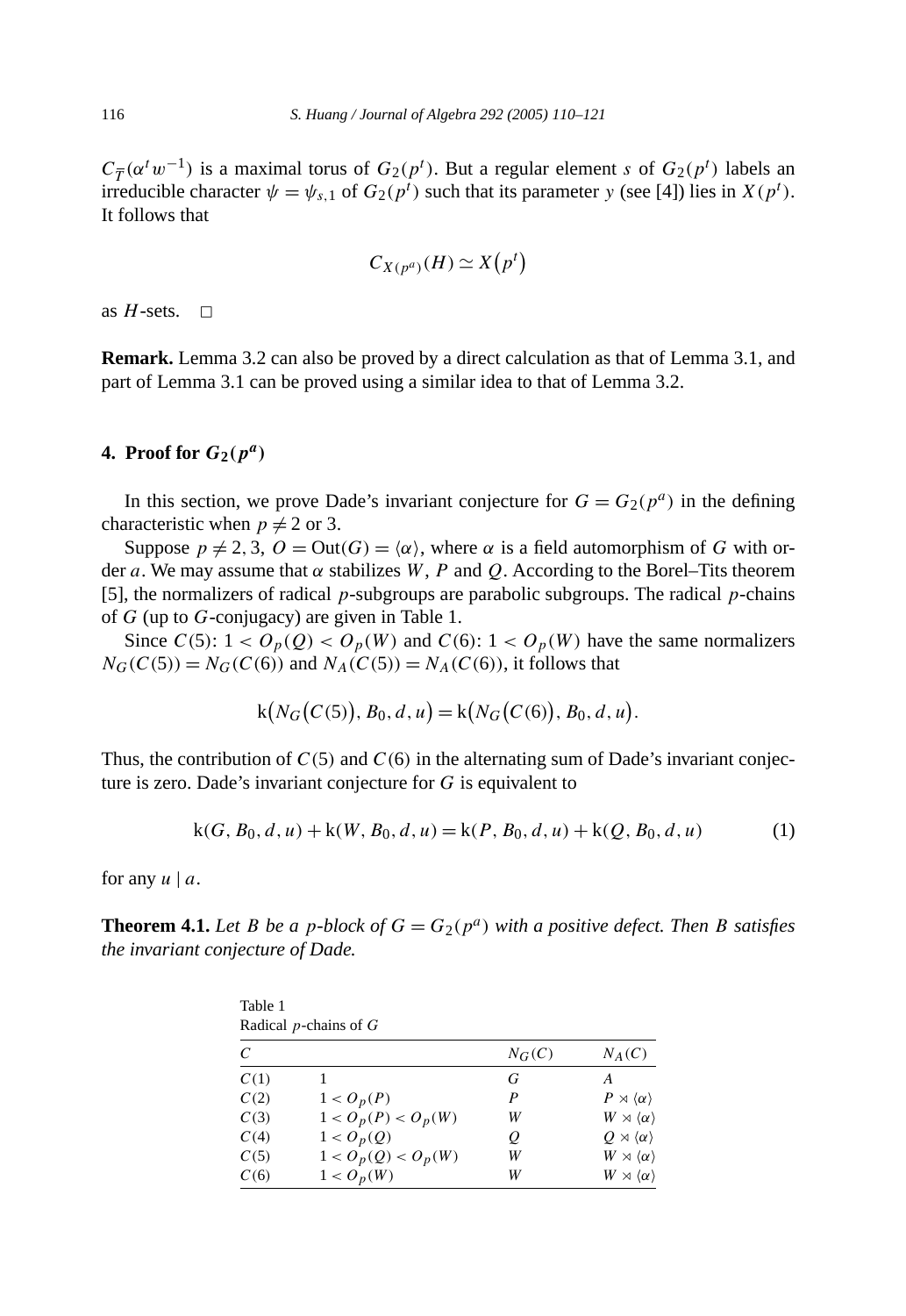$C_{\overline{T}}(\alpha^t w^{-1})$  is a maximal torus of  $G_2(p^t)$ . But a regular element *s* of  $G_2(p^t)$  labels an irreducible character  $\psi = \psi_{s,1}$  of  $G_2(p^t)$  such that its parameter *y* (see [4]) lies in  $X(p^t)$ . It follows that

$$
C_{X(p^a)}(H) \simeq X(p^t)
$$

as  $H$ -sets.  $\Box$ 

**Remark.** Lemma 3.2 can also be proved by a direct calculation as that of Lemma 3.1, and part of Lemma 3.1 can be proved using a similar idea to that of Lemma 3.2.

# **4. Proof for**  $G_2(p^a)$

In this section, we prove Dade's invariant conjecture for  $G = G_2(p^a)$  in the defining characteristic when  $p \neq 2$  or 3.

Suppose  $p \neq 2, 3, 0 = Out(G) = \langle \alpha \rangle$ , where  $\alpha$  is a field automorphism of *G* with order *a*. We may assume that *α* stabilizes *W*, *P* and *Q*. According to the Borel–Tits theorem [5], the normalizers of radical *p*-subgroups are parabolic subgroups. The radical *p*-chains of *G* (up to *G*-conjugacy) are given in Table 1.

Since  $C(5)$ :  $1 < O_p(Q) < O_p(W)$  and  $C(6)$ :  $1 < O_p(W)$  have the same normalizers  $N_G(C(5)) = N_G(C(6))$  and  $N_A(C(5)) = N_A(C(6))$ , it follows that

$$
k(N_G(C(5)), B_0, d, u) = k(N_G(C(6)), B_0, d, u).
$$

Thus, the contribution of  $C(5)$  and  $C(6)$  in the alternating sum of Dade's invariant conjecture is zero. Dade's invariant conjecture for *G* is equivalent to

$$
k(G, B_0, d, u) + k(W, B_0, d, u) = k(P, B_0, d, u) + k(Q, B_0, d, u)
$$
 (1)

for any  $u \mid a$ .

**Theorem 4.1.** Let *B* be a *p*-block of  $G = G_2(p^a)$  with a positive defect. Then *B* satisfies *the invariant conjecture of Dade.*

| Table 1 |                            |  |
|---------|----------------------------|--|
|         | Radical $p$ -chains of $G$ |  |

| C    |                        | $N_G(C)$ | $N_A(C)$                           |
|------|------------------------|----------|------------------------------------|
| C(1) |                        | G        | А                                  |
| C(2) | $1 < O_p(P)$           | P        | $P \rtimes \langle \alpha \rangle$ |
| C(3) | $1 < O_p(P) < O_p(W)$  | W        | $W \rtimes \langle \alpha \rangle$ |
| C(4) | $1 < O_p(Q)$           | o        | $Q \rtimes \langle \alpha \rangle$ |
| C(5) | $1 < O_p(Q) < O_p(W)$  | W        | $W \rtimes \langle \alpha \rangle$ |
| C(6) | 1 < O <sub>p</sub> (W) | W        | $W \rtimes \langle \alpha \rangle$ |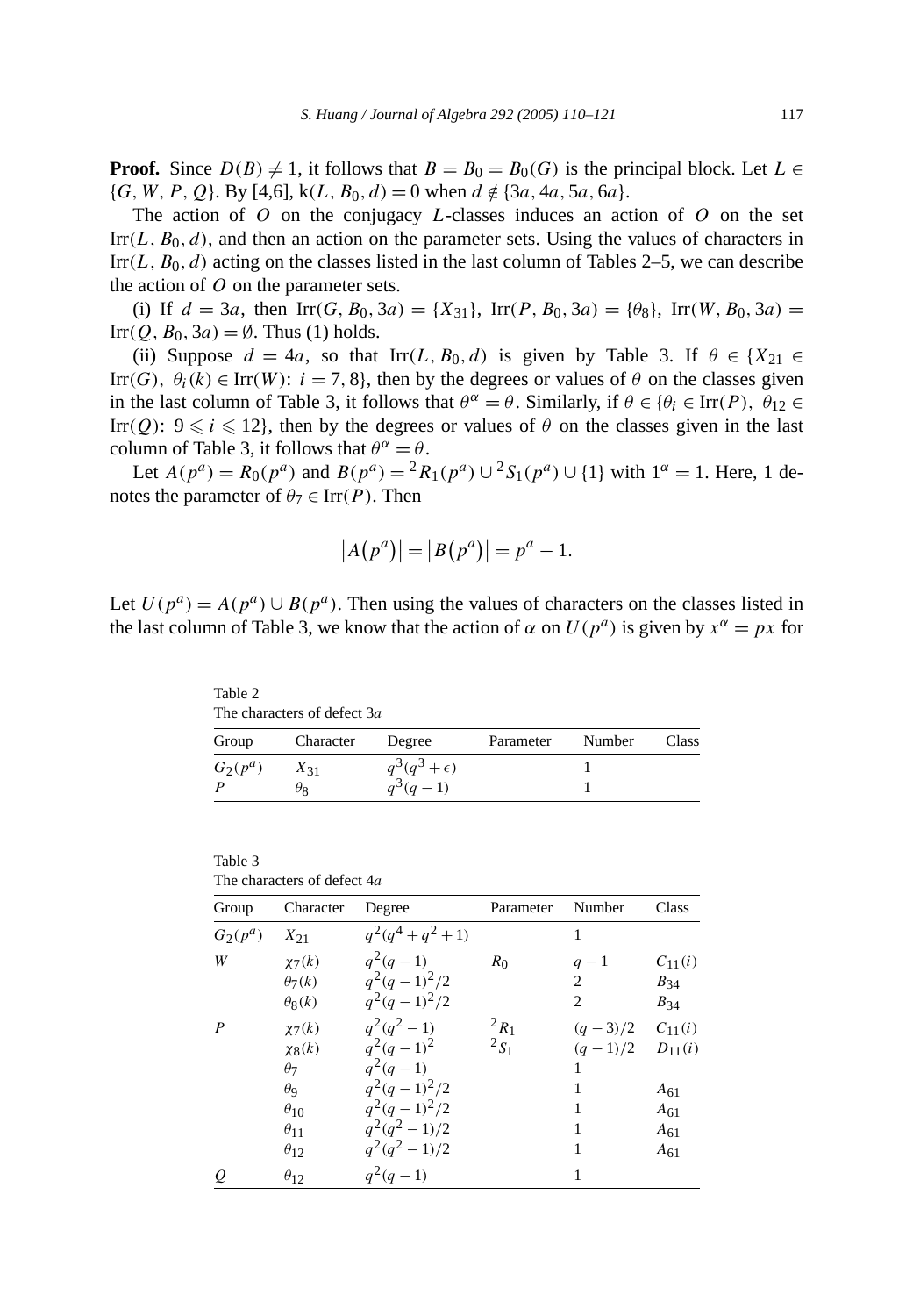**Proof.** Since  $D(B) \neq 1$ , it follows that  $B = B_0 = B_0(G)$  is the principal block. Let  $L \in$  $\{G, W, P, Q\}$ . By [4,6], k(L, B<sub>0</sub>, d) = 0 when  $d \notin \{3a, 4a, 5a, 6a\}$ .

The action of *O* on the conjugacy *L*-classes induces an action of *O* on the set  $\text{Irr}(L, B_0, d)$ , and then an action on the parameter sets. Using the values of characters in Irr $(L, B_0, d)$  acting on the classes listed in the last column of Tables 2–5, we can describe the action of *O* on the parameter sets.

(i) If  $d = 3a$ , then  $\text{Irr}(G, B_0, 3a) = \{X_{31}\}\text{, }\text{Irr}(P, B_0, 3a) = \{\theta_8\}$ ,  $\text{Irr}(W, B_0, 3a) =$ Irr $(Q, B_0, 3a) = \emptyset$ . Thus (1) holds.

(ii) Suppose  $d = 4a$ , so that Irr(L, B<sub>0</sub>, d) is given by Table 3. If  $\theta \in \{X_{21} \in$ Irr*(G),*  $\theta_i(k) \in \text{Irr}(W)$ :  $i = 7, 8$ }, then by the degrees or values of  $\theta$  on the classes given in the last column of Table 3, it follows that  $\theta^{\alpha} = \theta$ . Similarly, if  $\theta \in {\theta_i \in \text{Irr}(P)}$ ,  $\theta_{12} \in$ Irr(Q):  $9 \le i \le 12$ , then by the degrees or values of  $\theta$  on the classes given in the last column of Table 3, it follows that  $\theta^{\alpha} = \theta$ .

Let  $A(p^a) = R_0(p^a)$  and  $B(p^a) = {}^2R_1(p^a) \cup {}^2S_1(p^a) \cup \{1\}$  with  $1^\alpha = 1$ . Here, 1 denotes the parameter of  $\theta_7 \in \text{Irr}(P)$ . Then

$$
|A(p^{a})| = |B(p^{a})| = p^{a} - 1.
$$

Let  $U(p^a) = A(p^a) \cup B(p^a)$ . Then using the values of characters on the classes listed in the last column of Table 3, we know that the action of  $\alpha$  on  $U(p^a)$  is given by  $x^{\alpha} = px$  for

Table 2 The characters of defect 3*a*

| Group      | Character  | Degree              | Parameter | Number | Class |
|------------|------------|---------------------|-----------|--------|-------|
| $G_2(p^a)$ | $X_{31}$   | $q^3(q^3+\epsilon)$ |           |        |       |
|            | $\theta_8$ | $q^3(q-1)$          |           |        |       |

Table 3 The characters of defect 4*a*

| Group      | Character                                                                | Degree                                                               | Parameter                | Number                       | Class                                        |
|------------|--------------------------------------------------------------------------|----------------------------------------------------------------------|--------------------------|------------------------------|----------------------------------------------|
| $G_2(p^a)$ | $X_{21}$                                                                 | $q^2(q^4+q^2+1)$                                                     |                          | 1                            |                                              |
| W          | $\chi_7(k)$<br>$\theta_7(k)$<br>$\theta_8(k)$                            | $q^2(q-1)$<br>$q^2(q-1)^2/2$<br>$q^2(q-1)^2/2$                       | $R_0$                    | $q-1$<br>$\overline{2}$<br>2 | $C_{11}(i)$<br>$B_{34}$<br>$B_{34}$          |
| P          | $\chi_7(k)$<br>$\chi_8(k)$<br>$\theta_7$                                 | $q^2(q^2-1)$<br>$q^2(q-1)^2$<br>$q^2(q-1)$                           | ${}^2R_1$<br>$^{2}S_{1}$ | $(q-3)/2$<br>$(q-1)/2$<br>1  | $C_{11}(i)$<br>$D_{11}(i)$                   |
|            | $\theta$ <sub>9</sub><br>$\theta_{10}$<br>$\theta_{11}$<br>$\theta_{12}$ | $q^2(q-1)^2/2$<br>$q^2(q-1)^2/2$<br>$q^2(q^2-1)/2$<br>$q^2(q^2-1)/2$ |                          | 1<br>1<br>1<br>1             | $A_{61}$<br>$A_{61}$<br>$A_{61}$<br>$A_{61}$ |
| Q          | $\theta_{12}$                                                            | $q^2(q-1)$                                                           |                          | 1                            |                                              |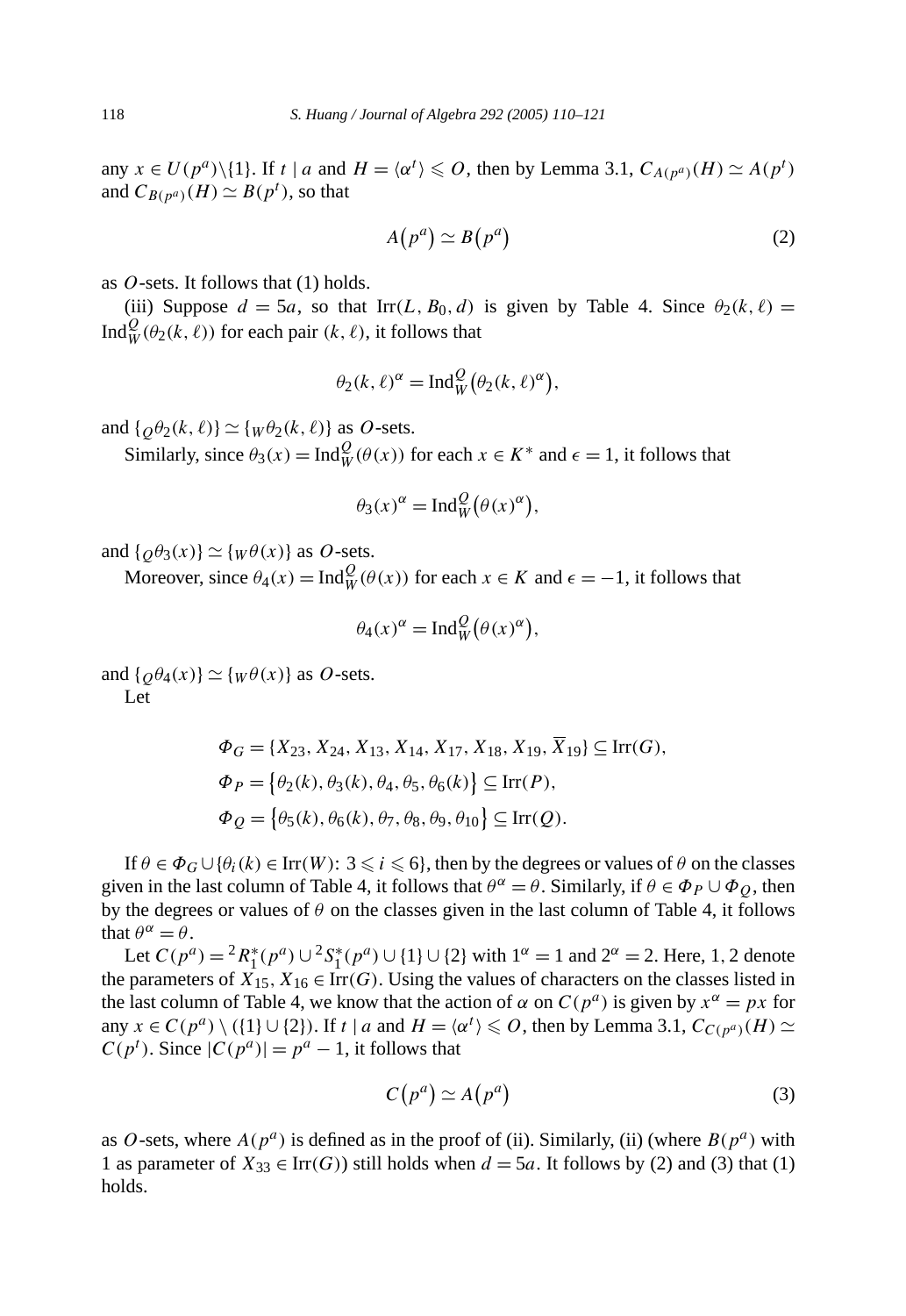any  $x \in U(p^a) \setminus \{1\}$ . If  $t \mid a$  and  $H = \langle \alpha^t \rangle \leq 0$ , then by Lemma 3.1,  $C_{A(p^a)}(H) \simeq A(p^t)$ and  $C_{B(p^a)}(H) \simeq B(p^t)$ , so that

$$
A(p^a) \simeq B(p^a) \tag{2}
$$

as *O*-sets. It follows that (1) holds.

(iii) Suppose  $d = 5a$ , so that Irr(L, B<sub>0</sub>, d) is given by Table 4. Since  $\theta_2(k, \ell)$ Ind $_{W}^{Q}(\theta_{2}(k,\ell))$  for each pair  $(k,\ell)$ , it follows that

$$
\theta_2(k,\ell)^\alpha = \operatorname{Ind}_{W}^Q(\theta_2(k,\ell)^\alpha),
$$

and  $\{\rho \theta_2(k, \ell)\} \simeq \{\psi \theta_2(k, \ell)\}\$ as *O*-sets.

Similarly, since  $\theta_3(x) = \text{Ind}_{W}^Q(\theta(x))$  for each  $x \in K^*$  and  $\epsilon = 1$ , it follows that

$$
\theta_3(x)^\alpha = \operatorname{Ind}_{W}^Q(\theta(x)^\alpha),
$$

and  $\{\rho \theta_3(x)\} \simeq \{w \theta(x)\}\$ as *O*-sets.

Moreover, since  $\theta_4(x) = \text{Ind}_{W}^Q(\theta(x))$  for each  $x \in K$  and  $\epsilon = -1$ , it follows that

$$
\theta_4(x)^\alpha = \operatorname{Ind}_{W}^Q(\theta(x)^\alpha),
$$

and  $\{\rho \theta_4(x)\} \simeq \{\psi \theta(x)\}$  as *O*-sets.

Let

$$
\Phi_G = \{X_{23}, X_{24}, X_{13}, X_{14}, X_{17}, X_{18}, X_{19}, \overline{X}_{19}\} \subseteq \text{Irr}(G),
$$
  
\n
$$
\Phi_P = \{\theta_2(k), \theta_3(k), \theta_4, \theta_5, \theta_6(k)\} \subseteq \text{Irr}(P),
$$
  
\n
$$
\Phi_Q = \{\theta_5(k), \theta_6(k), \theta_7, \theta_8, \theta_9, \theta_{10}\} \subseteq \text{Irr}(Q).
$$

If  $\theta \in \Phi_G \cup \{\theta_i(k) \in \text{Irr}(W): 3 \leq i \leq 6\}$ , then by the degrees or values of  $\theta$  on the classes given in the last column of Table 4, it follows that  $\theta^{\alpha} = \theta$ . Similarly, if  $\theta \in \Phi_P \cup \Phi_O$ , then by the degrees or values of  $\theta$  on the classes given in the last column of Table 4, it follows that  $\theta^{\alpha} = \theta$ .

Let  $C(p^a) = {}^2R_1^*(p^a) \cup {}^2S_1^*(p^a) \cup \{1\} \cup \{2\}$  with  $1^\alpha = 1$  and  $2^\alpha = 2$ . Here, 1, 2 denote the parameters of  $X_{15}$ ,  $X_{16} \in \text{Irr}(G)$ . Using the values of characters on the classes listed in the last column of Table 4, we know that the action of  $\alpha$  on  $C(p^a)$  is given by  $x^{\alpha} = px$  for any  $x \in C(p^a) \setminus (\{1\} \cup \{2\})$ . If  $t \mid a$  and  $H = \langle \alpha^t \rangle \leq 0$ , then by Lemma 3.1,  $C_{C(p^a)}(H) \simeq$  $C(p<sup>t</sup>)$ . Since  $|C(p<sup>a</sup>)| = p<sup>a</sup> - 1$ , it follows that

$$
C(p^a) \simeq A(p^a) \tag{3}
$$

as *O*-sets, where  $A(p^a)$  is defined as in the proof of (ii). Similarly, (ii) (where  $B(p^a)$  with 1 as parameter of  $X_{33} \in \text{Irr}(G)$ ) still holds when  $d = 5a$ . It follows by (2) and (3) that (1) holds.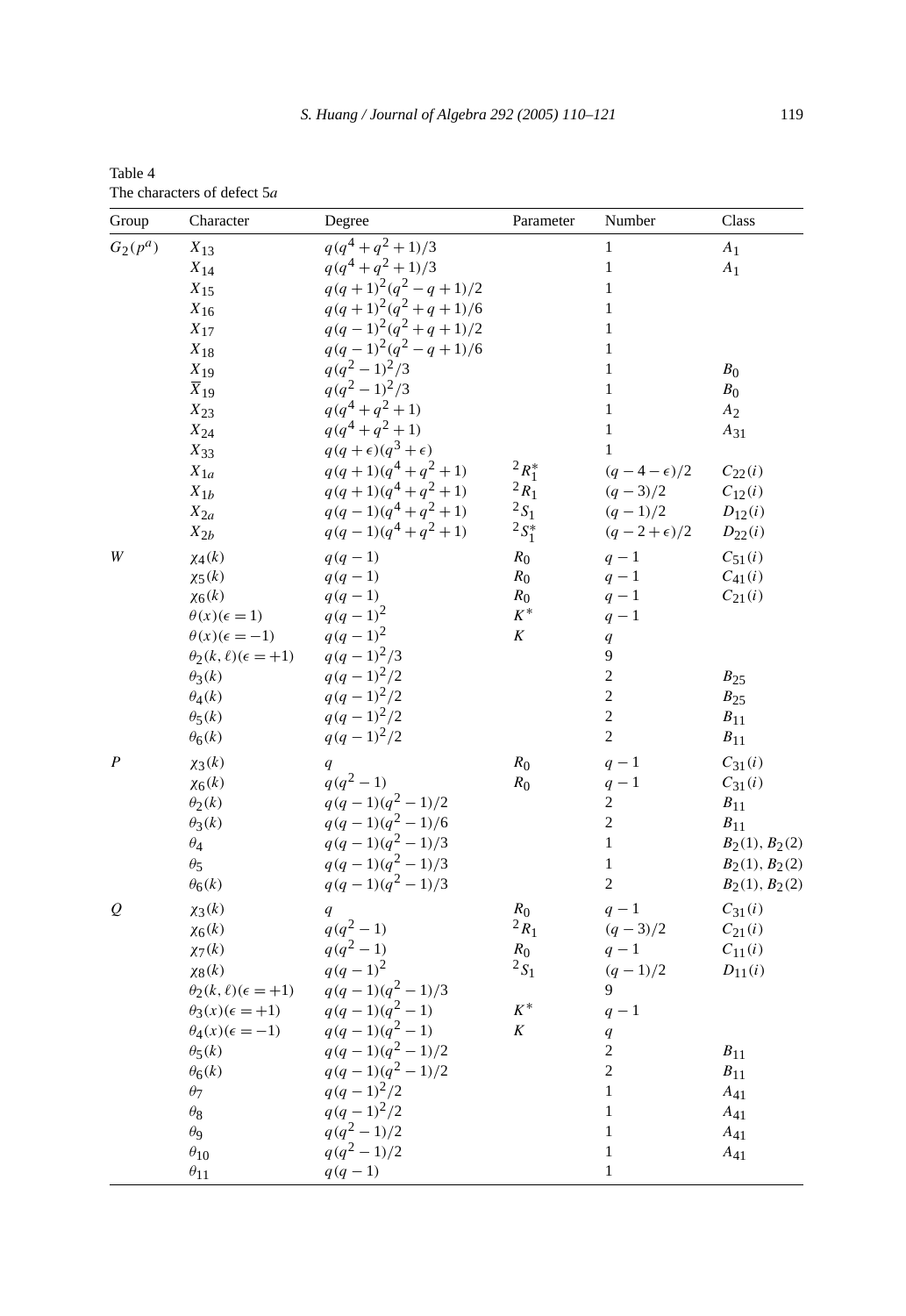| Table 4                     |  |
|-----------------------------|--|
| The characters of defect 5a |  |

|         | $\mathbf{1}$                                                                                                                                                             |                                                                                                                                                                                                                                               |
|---------|--------------------------------------------------------------------------------------------------------------------------------------------------------------------------|-----------------------------------------------------------------------------------------------------------------------------------------------------------------------------------------------------------------------------------------------|
|         |                                                                                                                                                                          | $\boldsymbol{A}_1$                                                                                                                                                                                                                            |
|         | $\,1$                                                                                                                                                                    | A <sub>1</sub>                                                                                                                                                                                                                                |
|         | $\mathbf{1}$                                                                                                                                                             |                                                                                                                                                                                                                                               |
|         | $\mathbf{1}$                                                                                                                                                             |                                                                                                                                                                                                                                               |
|         | $\,1$                                                                                                                                                                    |                                                                                                                                                                                                                                               |
|         | $\mathbf{1}$                                                                                                                                                             |                                                                                                                                                                                                                                               |
|         | $\mathbf{1}$                                                                                                                                                             | B <sub>0</sub>                                                                                                                                                                                                                                |
|         | $\mathbf{1}$                                                                                                                                                             | $B_{0}$                                                                                                                                                                                                                                       |
|         | $\mathbf{1}$                                                                                                                                                             | A <sub>2</sub>                                                                                                                                                                                                                                |
|         | $\mathbf{1}$                                                                                                                                                             | $A_{31}$                                                                                                                                                                                                                                      |
|         |                                                                                                                                                                          |                                                                                                                                                                                                                                               |
|         | $(q-4-\epsilon)/2$                                                                                                                                                       | $C_{22}(i)$                                                                                                                                                                                                                                   |
|         | $(q - 3)/2$                                                                                                                                                              | $C_{12}(i)$                                                                                                                                                                                                                                   |
|         | $(q-1)/2$                                                                                                                                                                | $D_{12}(i)$                                                                                                                                                                                                                                   |
|         | $(q-2+\epsilon)/2$                                                                                                                                                       | $D_{22}(i)$                                                                                                                                                                                                                                   |
|         |                                                                                                                                                                          | $C_{51}(i)$                                                                                                                                                                                                                                   |
| $R_0$   | $q-1$                                                                                                                                                                    | $C_{41}(i)$                                                                                                                                                                                                                                   |
| $R_{0}$ | $q-1$                                                                                                                                                                    | $C_{21}(i)$                                                                                                                                                                                                                                   |
| $K^*$   | $q-1$                                                                                                                                                                    |                                                                                                                                                                                                                                               |
| K       | q                                                                                                                                                                        |                                                                                                                                                                                                                                               |
|         | 9                                                                                                                                                                        |                                                                                                                                                                                                                                               |
|         | $\overline{c}$                                                                                                                                                           | $B_{25}$                                                                                                                                                                                                                                      |
|         | $\overline{c}$                                                                                                                                                           | $B_{25}$                                                                                                                                                                                                                                      |
|         | $\overline{c}$                                                                                                                                                           | $B_{11}$                                                                                                                                                                                                                                      |
|         | $\overline{c}$                                                                                                                                                           | $B_{11}$                                                                                                                                                                                                                                      |
|         |                                                                                                                                                                          | $C_{31}(i)$                                                                                                                                                                                                                                   |
|         |                                                                                                                                                                          | $C_{31}(i)$                                                                                                                                                                                                                                   |
|         | 2                                                                                                                                                                        | $B_{11}$                                                                                                                                                                                                                                      |
|         | $\overline{c}$                                                                                                                                                           | $B_{11}$                                                                                                                                                                                                                                      |
|         | $\mathbf{1}$                                                                                                                                                             | $B_2(1), B_2(2)$                                                                                                                                                                                                                              |
|         | $\mathbf{1}$                                                                                                                                                             | $B_2(1), B_2(2)$                                                                                                                                                                                                                              |
|         | $\overline{c}$                                                                                                                                                           | $B_2(1), B_2(2)$                                                                                                                                                                                                                              |
|         |                                                                                                                                                                          | $C_{31}(i)$                                                                                                                                                                                                                                   |
|         |                                                                                                                                                                          | $C_{21}(i)$                                                                                                                                                                                                                                   |
|         |                                                                                                                                                                          | ${\cal C}_{11}(i)$                                                                                                                                                                                                                            |
|         |                                                                                                                                                                          | $D_{11}(i)$                                                                                                                                                                                                                                   |
|         |                                                                                                                                                                          |                                                                                                                                                                                                                                               |
|         |                                                                                                                                                                          |                                                                                                                                                                                                                                               |
|         |                                                                                                                                                                          |                                                                                                                                                                                                                                               |
|         |                                                                                                                                                                          | $B_{11}$                                                                                                                                                                                                                                      |
|         |                                                                                                                                                                          | $B_{11}$                                                                                                                                                                                                                                      |
|         |                                                                                                                                                                          | $A_{41}$                                                                                                                                                                                                                                      |
|         |                                                                                                                                                                          | $A_{41}$                                                                                                                                                                                                                                      |
|         |                                                                                                                                                                          | $A_{41}$                                                                                                                                                                                                                                      |
|         |                                                                                                                                                                          | $A_{41}$                                                                                                                                                                                                                                      |
|         |                                                                                                                                                                          |                                                                                                                                                                                                                                               |
|         | ${}^{2}R_{1}^{*}$<br>$2R_1$<br>$^{2}S_1$<br>$^{2}S_{1}^{*}$<br>$R_0$<br>R <sub>0</sub><br>$R_0$<br>$R_{0}$<br>${}^2R_1$<br>$\mathfrak{R}_0$<br>$^{2}S_{1}$<br>$K^*$<br>K | $\mathbf{1}$<br>$q-1$<br>$q-1$<br>$q-1$<br>$q-1$<br>$(q - 3)/2$<br>$q-1$<br>$(q-1)/2$<br>9<br>$q-1$<br>$\boldsymbol{q}$<br>$\boldsymbol{2}$<br>$\overline{c}$<br>$\mathbf{1}$<br>$\mathbf{1}$<br>$\mathbf{1}$<br>$\mathbf{1}$<br>$\mathbf{1}$ |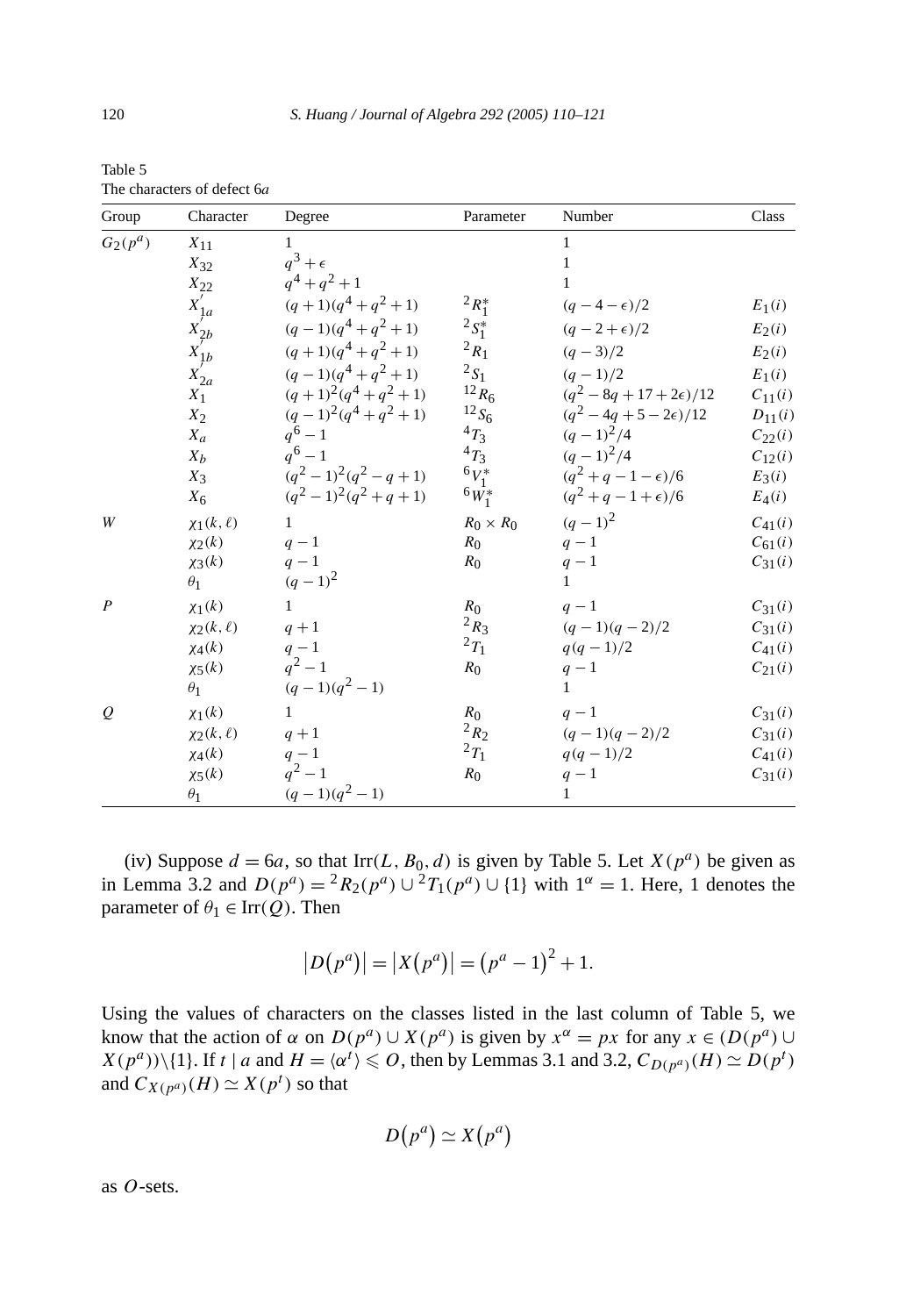| Group             | Character                                        | Degree               | Parameter         | Number                     | Class                 |
|-------------------|--------------------------------------------------|----------------------|-------------------|----------------------------|-----------------------|
| ${\cal G}_2(p^a)$ | $X_{11}$                                         | 1                    |                   | $\mathbf{1}$               |                       |
|                   | $X_{32}$                                         | $q^3 + \epsilon$     |                   | $\mathbf{1}$               |                       |
|                   | $X_{22}$                                         | $q^4 + q^2 + 1$      |                   | 1                          |                       |
|                   | $X'_{1a}$<br>$X'_{2b}$<br>$X'_{1b}$<br>$X'_{2a}$ | $(q+1)(q^4+q^2+1)$   | ${}^{2}R_{1}^{*}$ | $(q-4-\epsilon)/2$         | $E_1(i)$              |
|                   |                                                  | $(q-1)(q^4+q^2+1)$   | $^{2}S_{1}^{*}$   | $(q-2+\epsilon)/2$         | $E_2(i)$              |
|                   |                                                  | $(q+1)(q^4+q^2+1)$   | $^{2}R_{1}$       | $(q - 3)/2$                | $E_2(i)$              |
|                   |                                                  | $(q-1)(q^4+q^2+1)$   | $2S_1$            | $(q-1)/2$                  | $E_1(i)$              |
|                   | $X_1$                                            | $(q+1)^2(q^4+q^2+1)$ | $12 R_6$          | $(q^2-8q+17+2\epsilon)/12$ | $C_{11}(i)$           |
|                   | $X_2$                                            | $(q-1)^2(q^4+q^2+1)$ | $^{12}S_6$        | $(q^2-4q+5-2\epsilon)/12$  | $D_{11}(i)$           |
|                   | $X_a$                                            | $q^6 - 1$            | $^{4}T_{3}$       | $(q-1)^2/4$                | $C_{22}(i)$           |
|                   | $X_b$                                            | $q^6 - 1$            | $4T_3$            | $(q-1)^2/4$                | ${\cal C}_{12}(i)$    |
|                   | $X_3$                                            | $(q^2-1)^2(q^2-q+1)$ | ${}^{6}V_1^*$     | $(q^2+q-1-\epsilon)/6$     | $E_3(i)$              |
|                   | $X_6$                                            | $(q^2-1)^2(q^2+q+1)$ | $6W_1^*$          | $(q^2+q-1+\epsilon)/6$     | $E_4(i)$              |
| W                 | $\chi_1(k,\ell)$                                 | $\mathbf{1}$         | $R_0 \times R_0$  | $(q-1)^2$                  | $C_{41}(i)$           |
|                   | $\chi_2(k)$                                      | $q-1$                | $R_0$             | $q-1$                      | $C_{61}(i)$           |
|                   | $\chi_3(k)$                                      | $q-1$                | $R_0$             | $q-1$                      | $C_{31}(i)$           |
|                   | $\theta_1$                                       | $(q-1)^2$            |                   | 1                          |                       |
| $\boldsymbol{P}$  | $\chi_1(k)$                                      | $\mathbf{1}$         | R <sub>0</sub>    | $q-1$                      | $C_{31}(i)$           |
|                   | $\chi_2(k,\ell)$                                 | $q+1$                | ${}^2R_3$         | $(q-1)(q-2)/2$             | $C_{31}(i)$           |
|                   | $\chi_4(k)$                                      | $q-1$                | $^{2}T_{1}$       | $q(q-1)/2$                 | $\mathcal{C}_{41}(i)$ |
|                   | $\chi_5(k)$                                      | $q^2 - 1$            | $R_0$             | $q-1$                      | $C_{21}(i)$           |
|                   | $\theta_1$                                       | $(q-1)(q^2-1)$       |                   | $\mathbf{1}$               |                       |
| $\mathcal{Q}$     | $\chi_1(k)$                                      | $\mathbf{1}$         | $R_{0}$           | $q-1$                      | $C_{31}(i)$           |
|                   | $\chi_2(k,\ell)$                                 | $q+1$                | $^{2}R_{2}$       | $(q-1)(q-2)/2$             | $C_{31}(i)$           |
|                   | $\chi_4(k)$                                      | $q-1$                | $^{2}T_{1}$       | $q(q-1)/2$                 | $C_{41}(i)$           |
|                   | $\chi_5(k)$                                      | $q^2 - 1$            | R <sub>0</sub>    | $q-1$                      | $C_{31}(i)$           |
|                   | $\theta_1$                                       | $(q-1)(q^2-1)$       |                   | 1                          |                       |

Table 5 The characters of defect 6*a*

(iv) Suppose  $d = 6a$ , so that Irr(*L*,  $B_0$ , *d*) is given by Table 5. Let  $X(p^a)$  be given as in Lemma 3.2 and  $D(p^a) = {}^2R_2(p^a) \cup {}^2T_1(p^a) \cup \{1\}$  with  $1^a = 1$ . Here, 1 denotes the parameter of  $\theta_1 \in \text{Irr}(Q)$ . Then

$$
|D(p^{a})| = |X(p^{a})| = (p^{a} - 1)^{2} + 1.
$$

Using the values of characters on the classes listed in the last column of Table 5, we know that the action of *α* on  $D(p^a) \cup X(p^a)$  is given by  $x^a = px$  for any  $x \in (D(p^a) \cup$  $X(p^a)$ )\{1}. If *t* | *a* and  $H = \langle \alpha^t \rangle \leq 0$ , then by Lemmas 3.1 and 3.2,  $C_{D(p^a)}(H) \simeq D(p^t)$ and  $C_{X(p^a)}(H) \simeq X(p^t)$  so that

$$
D(p^a) \simeq X(p^a)
$$

as *O*-sets.